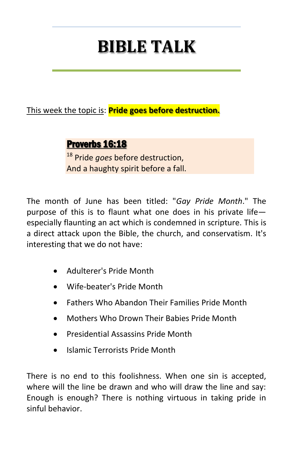# **BIBLE TALK**

This week the topic is: **Pride goes before destruction.**

# Proverbs 16:18

<sup>18</sup> Pride *goes* before destruction, And a haughty spirit before a fall.

The month of June has been titled: "*Gay Pride Month*." The purpose of this is to flaunt what one does in his private life especially flaunting an act which is condemned in scripture. This is a direct attack upon the Bible, the church, and conservatism. It's interesting that we do not have:

- Adulterer's Pride Month
- Wife-beater's Pride Month
- Fathers Who Abandon Their Families Pride Month
- Mothers Who Drown Their Babies Pride Month
- Presidential Assassins Pride Month
- Islamic Terrorists Pride Month

There is no end to this foolishness. When one sin is accepted, where will the line be drawn and who will draw the line and say: Enough is enough? There is nothing virtuous in taking pride in sinful behavior.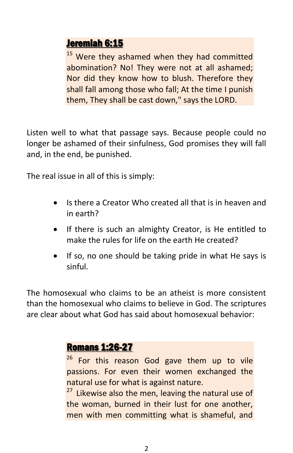#### Jeremiah 6:15

<sup>15</sup> Were they ashamed when they had committed abomination? No! They were not at all ashamed; Nor did they know how to blush. Therefore they shall fall among those who fall; At the time I punish them, They shall be cast down," says the LORD.

Listen well to what that passage says. Because people could no longer be ashamed of their sinfulness, God promises they will fall and, in the end, be punished.

The real issue in all of this is simply:

- Is there a Creator Who created all that is in heaven and in earth?
- If there is such an almighty Creator, is He entitled to make the rules for life on the earth He created?
- If so, no one should be taking pride in what He says is sinful.

The homosexual who claims to be an atheist is more consistent than the homosexual who claims to believe in God. The scriptures are clear about what God has said about homosexual behavior:

### Romans 1:26-27

26 For this reason God gave them up to vile passions. For even their women exchanged the natural use for what is against nature.

 $27$  Likewise also the men, leaving the natural use of the woman, burned in their lust for one another, men with men committing what is shameful, and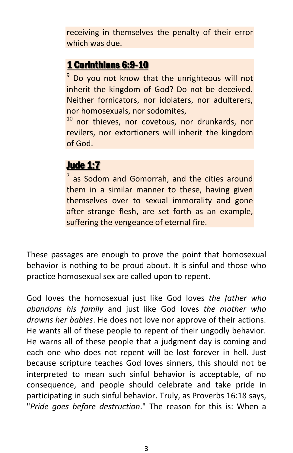receiving in themselves the penalty of their error which was due.

# 1 Corinthians 6:9-10

<sup>9</sup> Do you not know that the unrighteous will not inherit the kingdom of God? Do not be deceived. Neither fornicators, nor idolaters, nor adulterers, nor homosexuals, nor sodomites,

<sup>10</sup> nor thieves, nor covetous, nor drunkards, nor revilers, nor extortioners will inherit the kingdom of God.

## Jude 1:7

 $<sup>7</sup>$  as Sodom and Gomorrah, and the cities around</sup> them in a similar manner to these, having given themselves over to sexual immorality and gone after strange flesh, are set forth as an example, suffering the vengeance of eternal fire.

These passages are enough to prove the point that homosexual behavior is nothing to be proud about. It is sinful and those who practice homosexual sex are called upon to repent.

God loves the homosexual just like God loves *the father who abandons his family* and just like God loves *the mother who drowns her babies*. He does not love nor approve of their actions. He wants all of these people to repent of their ungodly behavior. He warns all of these people that a judgment day is coming and each one who does not repent will be lost forever in hell. Just because scripture teaches God loves sinners, this should not be interpreted to mean such sinful behavior is acceptable, of no consequence, and people should celebrate and take pride in participating in such sinful behavior. Truly, as Proverbs 16:18 says, "*Pride goes before destruction*." The reason for this is: When a